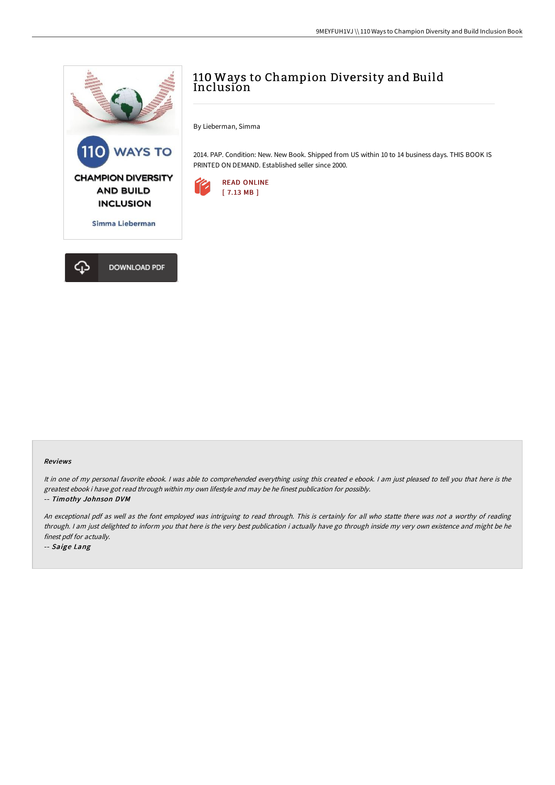

## 110 Ways to Champion Diversity and Build Inclusion

By Lieberman, Simma

2014. PAP. Condition: New. New Book. Shipped from US within 10 to 14 business days. THIS BOOK IS PRINTED ON DEMAND. Established seller since 2000.



## Reviews

It in one of my personal favorite ebook. I was able to comprehended everything using this created e ebook. I am just pleased to tell you that here is the greatest ebook i have got read through within my own lifestyle and may be he finest publication for possibly.

## -- Timothy Johnson DVM

An exceptional pdf as well as the font employed was intriguing to read through. This is certainly for all who statte there was not <sup>a</sup> worthy of reading through. <sup>I</sup> am just delighted to inform you that here is the very best publication i actually have go through inside my very own existence and might be he finest pdf for actually.

-- Saige Lang